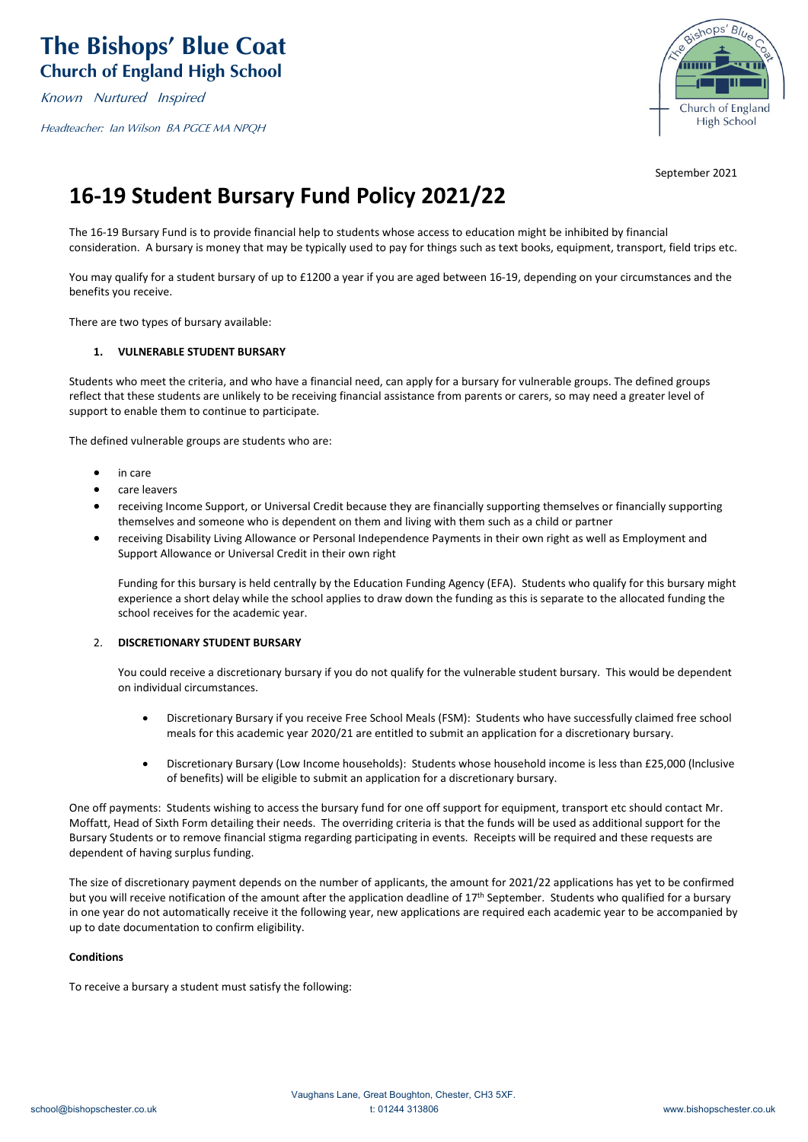Known Nurtured Inspired

Headteacher: Ian Wilson BA PGCE MA NPQH



September 2021

# **16-19 Student Bursary Fund Policy 2021/22**

The 16-19 Bursary Fund is to provide financial help to students whose access to education might be inhibited by financial consideration. A bursary is money that may be typically used to pay for things such as text books, equipment, transport, field trips etc.

You may qualify for a student bursary of up to £1200 a year if you are aged between 16-19, depending on your circumstances and the benefits you receive.

There are two types of bursary available:

# **1. VULNERABLE STUDENT BURSARY**

Students who meet the criteria, and who have a financial need, can apply for a bursary for vulnerable groups. The defined groups reflect that these students are unlikely to be receiving financial assistance from parents or carers, so may need a greater level of support to enable them to continue to participate.

The defined vulnerable groups are students who are:

- in care
- care leavers
- receiving Income Support, or Universal Credit because they are financially supporting themselves or financially supporting themselves and someone who is dependent on them and living with them such as a child or partner
- receiving Disability Living Allowance or Personal Independence Payments in their own right as well as Employment and Support Allowance or Universal Credit in their own right

Funding for this bursary is held centrally by the Education Funding Agency (EFA). Students who qualify for this bursary might experience a short delay while the school applies to draw down the funding as this is separate to the allocated funding the school receives for the academic year.

#### 2. **DISCRETIONARY STUDENT BURSARY**

You could receive a discretionary bursary if you do not qualify for the vulnerable student bursary. This would be dependent on individual circumstances.

- Discretionary Bursary if you receive Free School Meals (FSM): Students who have successfully claimed free school meals for this academic year 2020/21 are entitled to submit an application for a discretionary bursary.
- Discretionary Bursary (Low Income households): Students whose household income is less than £25,000 (lnclusive of benefits) will be eligible to submit an application for a discretionary bursary.

One off payments: Students wishing to access the bursary fund for one off support for equipment, transport etc should contact Mr. Moffatt, Head of Sixth Form detailing their needs. The overriding criteria is that the funds will be used as additional support for the Bursary Students or to remove financial stigma regarding participating in events. Receipts will be required and these requests are dependent of having surplus funding.

The size of discretionary payment depends on the number of applicants, the amount for 2021/22 applications has yet to be confirmed but you will receive notification of the amount after the application deadline of 17<sup>th</sup> September. Students who qualified for a bursary in one year do not automatically receive it the following year, new applications are required each academic year to be accompanied by up to date documentation to confirm eligibility.

## **Conditions**

To receive a bursary a student must satisfy the following: